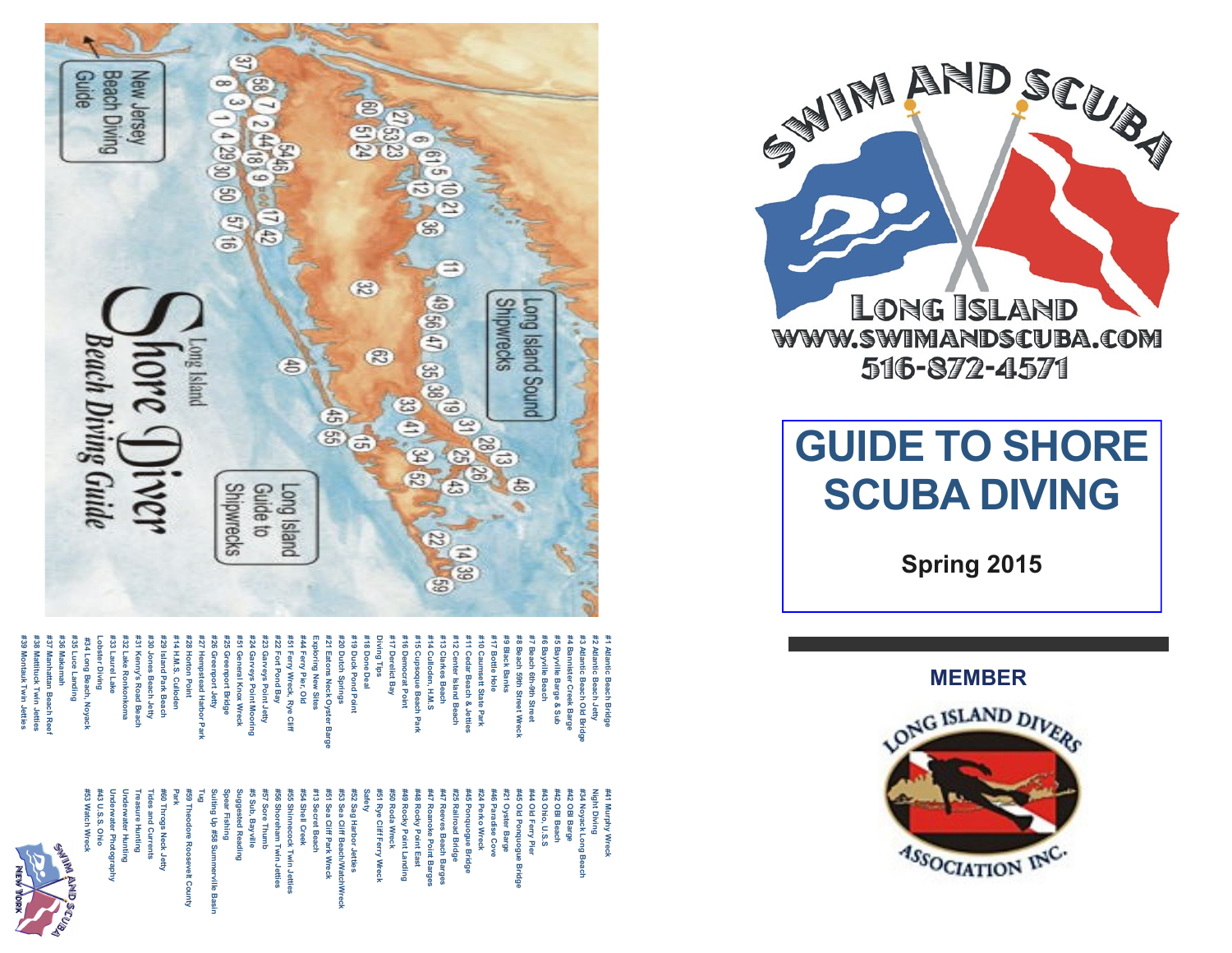

#30 Jones Beach Jetty<br>#31 Kenny's Road Beach<br>#32 Lake Ronkonkoma **#38 Mattituck Twin Jetties #37 Manhattan Beach Reef #36 Makamah #35 Luce Landing Lobster Diving #33 Laurel Lake #32 Lake Ronkonkoma #31 Kenny's Road Beach #30 Jones Beach Jetty #29 Island Park Beach #14 H.M.S. Culloden #28 Horton Point #27 Hempstead Harbor Park #26 Greenport Jetty #25 Greenport Bridge #51 General Knox Wreck #24 Garveys Point Mooring #23 Garveys Point Jetty #22 Fort Pond Bay #51 Ferry Wreck, Rye Cliff #44 Ferry Pier, Old Exploring New Sites #21 Eatons Neck Oyster Barge #20 Dutch Springs #19 Duck Pond Point #18 Done Deal Diving Tips #17 Derelict Bay #16 Democrat Point #15 Cupsoque Beach Park #14 Culloden, H.M.S #13 Clarkes Beach #12 Center Island Beach #11 Cedar Beach & Jetties #10 Caumsett State Park #17 Bottle Hole #9 Black Banks #8 Beach 59th Street Wreck #7 Beach 6th #6 Bayville Beach #5 Bayville Barge & Sub #4 Bannister Creek Barge #3 Atlantic Beach Old Bridge #2 Atlantic Beach Jetty #1 Atlantic Beach Bridge #34 Long Beach, Noyack** Lobster Diving **433 Laurel Lake** -27 #26 Gree f24 Garveys Point Moori<br>f51 General Knox Wreck **23 Garveys Point Jetty H7 Derelict Bay** #11 Co 37 Manhattan Beach Re #34 Long Beach, Noyack 29 Island Park Beach 14 H.M.S. Culloden 28 Horton Point 25 Greenport Bridge 22 Fort Pond Bay 51 Ferry Wreck, Rye Cliff 44 Ferry Pier, Old 21 Eatons Neck Oyster 20 Dutch Spri 19 Duck Pond Poi 18 Done Deal 16 Democrat Point 15 Cupsoque Beach Parl 14 Culloden, H.M.S 13 Clarkes Beac 12 Center Island Beach 17 Bottle Hole **9 Black Banks** 8 Beach 59th Street Wrec 7 Beach 6th-9th Street 6 Bayville Beach **Bayville Barge & Sub Bannister Creek Barge** Mattituck Twin Jetties<br>Montauk Twin Jetties ng Tips **adar Beach & Jetti** antic Beach Jetty<br>antic Beach Old Bri ing New Sites nsett State Park hact Jetty tead Harbor Park **9th Street** ś 룹

#44 Old Ferry Pier<br>#45 Old Ponquogue |<br>#21 Oyster Barge Underwater Photogra<br>#43 U.S.S. Ohio<br>#53 Watch Wreck Treasure Hunting<br>Underwater Huntin<br>Linderwater Huntin #5 Sub, Bayville<br>Suggested Reading **#53 Watch Wreck #43 U.S.S. Ohio Underwater Photography Underwater Hunting Treasure Hunting Tides and Currents #60 Throgs Neck Jetty Park #59 Theodore Roosevelt County Tug Suiting Up #58 Summerville Basin Spear Fishing Suggested Reading #5 Sub, Bayville #57 Sore Thumb #56 Shoreham Twin Jetties #55 Shinnecock Twin Jetties #54 Shell Creek #13 Secret Beach #51 Sea Cliff Park Wreck #53 Sea Cliff Beach/WatchWreck #52 Sag Harbor Jetties Safety #51 Rye Cliff Ferry Wreck #50 Roda Wreck** #48 Rocky Point East<br>#49 Rocky Point Landing **#49 Rocky Point Landing #48 Rocky Point East #47 Roanoke Point Barges #47 Reeves Beach Barges** #45 Ponquogue Bridge<br>#25 Railroad Bridge **#25 Railroad Bridge #45 Ponquogue Bridge #24 Perko Wreck #46 Paradise Cove #21 Oyster Barge #45 Old Ponquogue Bridge #44 Old Ferry Pier #43 Ohio, U.S.S #42 OBI Beach #42 OBI Barge #34 Noyack Long Beach Night Diving #41 Murphy Wreck S9 The** Spear Fishing 57 Sore Thun 51 Sea Cliff Park Wrec 53 Sea Cliff Beach/Wat #52 Sag Harbor Jetties **451 Rye Cliff Ferry Wreck** #50 Roda Wreck 47 Roanoke Point Barges 47 Reeves Beach Barges #24 Perko Wreck 446 Paradise Cove 43 Ohio, U.S.S 42 OBI Beach 42 OBI Barge 34 Noyack Long Bea light Diving 41 Murphy Wreck ides and Currents 60 Throgs Neck Jett) 56 Shoreham Twin 55 Shinnecock Twin 54 Shell Creek 13 Secret Beach iting Up #58 St pdore Roc Bas



# **GUIDE TO SHORE SCUBA DIVING**

**Spring 2015**

**MEMBER**





**#39 Montauk Twin Jetties**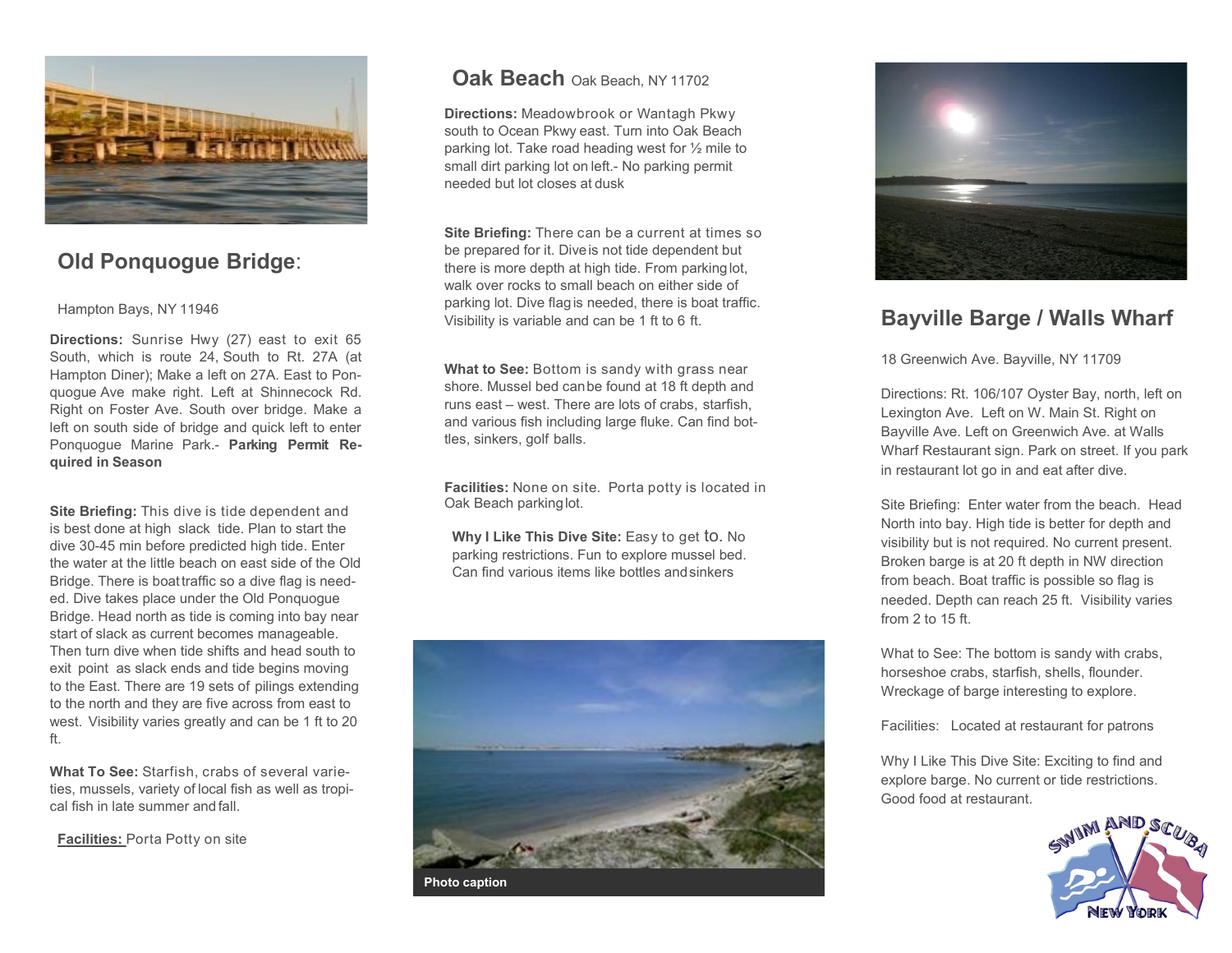

# **Old Ponquogue Bridge**:

#### Hampton Bays, NY 11946

**Directions:** Sunrise Hwy (27) east to exit 65 South, which is route 24, South to Rt. 27A (at Hampton Diner); Make a left on 27A. East to Ponquogue Ave make right. Left at Shinnecock Rd. Right on Foster Ave. South over bridge. Make a left on south side of bridge and quick left to enter Ponquogue Marine Park.- **Parking Permit Required in Season**

**Site Briefing:** This dive is tide dependent and is best done at high slack tide. Plan to start the dive 30-45 min before predicted high tide. Enter the water at the little beach on east side of the Old Bridge. There is boattraffic so a dive flag is needed. Dive takes place under the Old Ponquogue Bridge. Head north as tide is coming into bay near start of slack as current becomes manageable. Then turn dive when tide shifts and head south to exit point as slack ends and tide begins moving to the East. There are 19 sets of pilings extending to the north and they are five across from east to west. Visibility varies greatly and can be 1 ft to 20 ft.

**What To See:** Starfish, crabs of several varieties, mussels, variety of local fish as well as tropical fish in late summer and fall.

**Facilities:** Porta Potty on site

#### **Oak Beach** Oak Beach, NY <sup>11702</sup>

**Directions:** Meadowbrook or Wantagh Pkwy south to Ocean Pkwy east. Turn into Oak Beach parking lot. Take road heading west for ½ mile to small dirt parking lot on left.- No parking permit needed but lot closes at dusk

**Site Briefing:** There can be a current at times so be prepared for it. Diveis not tide dependent but there is more depth at high tide. From parkinglot, walk over rocks to small beach on either side of parking lot. Dive flagis needed, there is boat traffic. Visibility is variable and can be 1 ft to 6 ft.

**What to See:** Bottom is sandy with grass near shore. Mussel bed canbe found at 18 ft depth and runs east – west. There are lots of crabs, starfish, and various fish including large fluke. Can find bottles, sinkers, golf balls.

**Facilities:** None on site. Porta potty is located in Oak Beach parkinglot.

**Why I Like This Dive Site: Easy to get to. No** parking restrictions. Fun to explore mussel bed. Can find various items like bottles andsinkers





## **Bayville Barge / Walls Wharf**

18 Greenwich Ave. Bayville, NY 11709

Directions: Rt. 106/107 Oyster Bay, north, left on Lexington Ave. Left on W. Main St. Right on Bayville Ave. Left on Greenwich Ave. at Walls Wharf Restaurant sign. Park on street. If you park in restaurant lot go in and eat after dive.

Site Briefing: Enter water from the beach. Head North into bay. High tide is better for depth and visibility but is not required. No current present. Broken barge is at 20 ft depth in NW direction from beach. Boat traffic is possible so flag is needed. Depth can reach 25 ft. Visibility varies from  $2$  to 15 ft.

What to See: The bottom is sandy with crabs, horseshoe crabs, starfish, shells, flounder. Wreckage of barge interesting to explore.

Facilities: Located at restaurant for patrons

Why I Like This Dive Site: Exciting to find and explore barge. No current or tide restrictions. Good food at restaurant.

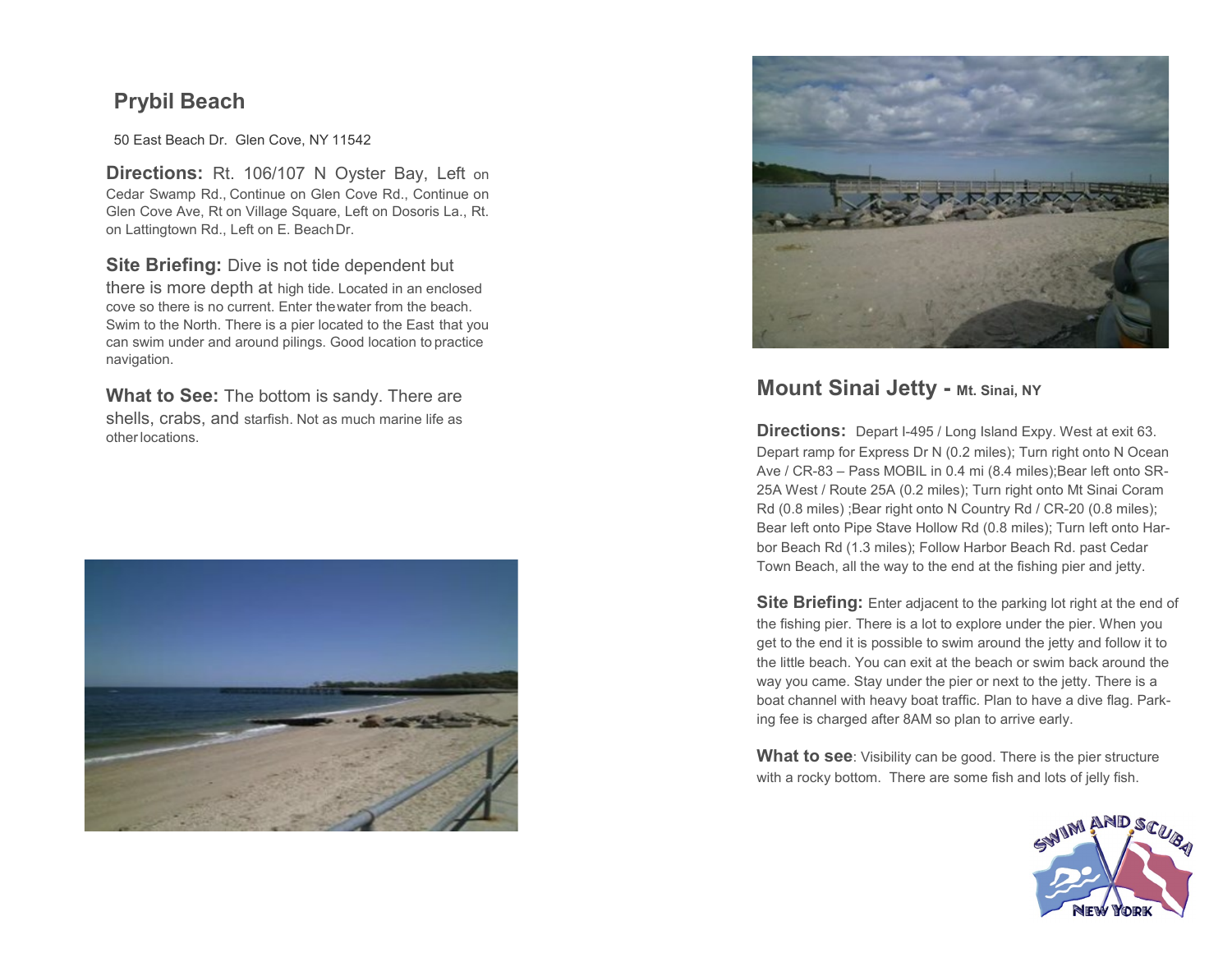# **Prybil Beach**

50 East Beach Dr. Glen Cove, NY 11542

**Directions:** Rt. 106/107 N Oyster Bay, Left on Cedar Swamp Rd., Continue on Glen Cove Rd., Continue on Glen Cove Ave, Rt on Village Square, Left on Dosoris La., Rt. on Lattingtown Rd., Left on E. BeachDr.

**Site Briefing:** Dive is not tide dependent but there is more depth at high tide. Located in an enclosed cove so there is no current. Enter thewater from the beach. Swim to the North. There is a pier located to the East that you can swim under and around pilings. Good location to practice navigation.

**What to See:** The bottom is sandy. There are shells, crabs, and starfish. Not as much marine life as otherlocations.





#### **Mount Sinai Jetty - Mt. Sinai, NY**

**Directions:** Depart I-495 / Long Island Expy. West at exit 63. Depart ramp for Express Dr N (0.2 miles); Turn right onto N Ocean Ave / CR-83 – Pass MOBIL in 0.4 mi (8.4 miles); Bear left onto SR-25A West / Route 25A (0.2 miles); Turn right onto Mt Sinai Coram Rd (0.8 miles) ;Bear right onto N Country Rd / CR-20 (0.8 miles); Bear left onto Pipe Stave Hollow Rd (0.8 miles); Turn left onto Harbor Beach Rd (1.3 miles); Follow Harbor Beach Rd. past Cedar Town Beach, all the way to the end at the fishing pier and jetty.

**Site Briefing:** Enter adjacent to the parking lot right at the end of the fishing pier. There is a lot to explore under the pier. When you get to the end it is possible to swim around the jetty and follow it to the little beach. You can exit at the beach or swim back around the way you came. Stay under the pier or next to the jetty. There is a boat channel with heavy boat traffic. Plan to have a dive flag. Parking fee is charged after 8AM so plan to arrive early.

**What to see**: Visibility can be good. There is the pier structure with a rocky bottom. There are some fish and lots of jelly fish.